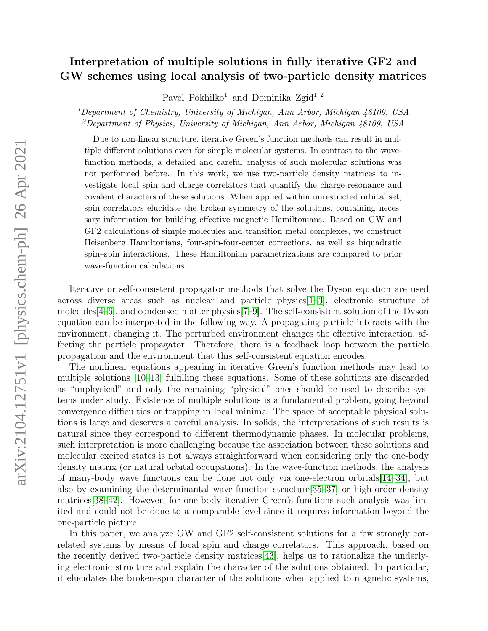## Interpretation of multiple solutions in fully iterative GF2 and GW schemes using local analysis of two-particle density matrices

Pavel Pokhilko<sup>1</sup> and Dominika Zgid<sup>1,2</sup>

<sup>1</sup>Department of Chemistry, University of Michigan, Ann Arbor, Michigan  $48109$ , USA <sup>2</sup>Department of Physics, University of Michigan, Ann Arbor, Michigan 48109, USA

Due to non-linear structure, iterative Green's function methods can result in multiple different solutions even for simple molecular systems. In contrast to the wavefunction methods, a detailed and careful analysis of such molecular solutions was not performed before. In this work, we use two-particle density matrices to investigate local spin and charge correlators that quantify the charge-resonance and covalent characters of these solutions. When applied within unrestricted orbital set, spin correlators elucidate the broken symmetry of the solutions, containing necessary information for building effective magnetic Hamiltonians. Based on GW and GF2 calculations of simple molecules and transition metal complexes, we construct Heisenberg Hamiltonians, four-spin-four-center corrections, as well as biquadratic spin–spin interactions. These Hamiltonian parametrizations are compared to prior wave-function calculations.

Iterative or self-consistent propagator methods that solve the Dyson equation are used across diverse areas such as nuclear and particle physics  $[1-3]$  $[1-3]$ , electronic structure of molecules[\[4–](#page-10-2)[6\]](#page-10-3), and condensed matter physics[\[7–](#page-10-4)[9\]](#page-10-5). The self-consistent solution of the Dyson equation can be interpreted in the following way. A propagating particle interacts with the environment, changing it. The perturbed environment changes the effective interaction, affecting the particle propagator. Therefore, there is a feedback loop between the particle propagation and the environment that this self-consistent equation encodes.

The nonlinear equations appearing in iterative Green's function methods may lead to multiple solutions [\[10–](#page-10-6)[13\]](#page-10-7) fulfilling these equations. Some of these solutions are discarded as "unphysical" and only the remaining "physical" ones should be used to describe systems under study. Existence of multiple solutions is a fundamental problem, going beyond convergence difficulties or trapping in local minima. The space of acceptable physical solutions is large and deserves a careful analysis. In solids, the interpretations of such results is natural since they correspond to different thermodynamic phases. In molecular problems, such interpretation is more challenging because the association between these solutions and molecular excited states is not always straightforward when considering only the one-body density matrix (or natural orbital occupations). In the wave-function methods, the analysis of many-body wave functions can be done not only via one-electron orbitals[\[14–](#page-10-8)[34\]](#page-12-0), but also by examining the determinantal wave-function structure[\[35–](#page-12-1)[37\]](#page-12-2) or high-order density matrices[\[38–](#page-12-3)[42\]](#page-12-4). However, for one-body iterative Green's functions such analysis was limited and could not be done to a comparable level since it requires information beyond the one-particle picture.

In this paper, we analyze GW and GF2 self-consistent solutions for a few strongly correlated systems by means of local spin and charge correlators. This approach, based on the recently derived two-particle density matrices[\[43\]](#page-13-0), helps us to rationalize the underlying electronic structure and explain the character of the solutions obtained. In particular, it elucidates the broken-spin character of the solutions when applied to magnetic systems,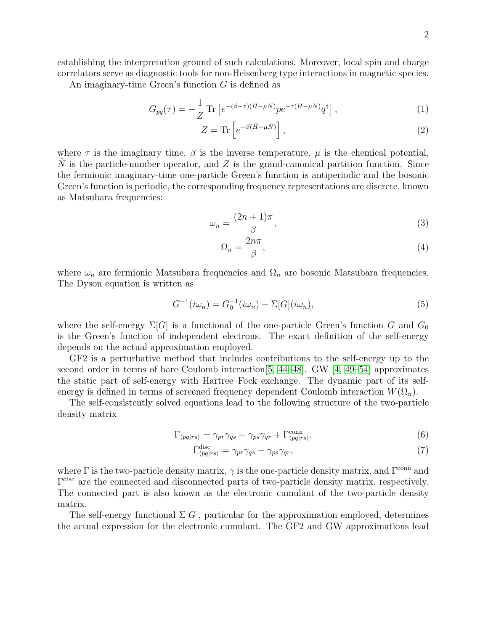establishing the interpretation ground of such calculations. Moreover, local spin and charge correlators serve as diagnostic tools for non-Heisenberg type interactions in magnetic species.

An imaginary-time Green's function G is defined as

$$
G_{pq}(\tau) = -\frac{1}{Z} \operatorname{Tr} \left[ e^{-(\beta - \tau)(H - \mu N)} p e^{-\tau (H - \mu N)} q^{\dagger} \right],\tag{1}
$$

$$
Z = \text{Tr}\left[e^{-\beta(\hat{H} - \mu \hat{N})}\right],\tag{2}
$$

where  $\tau$  is the imaginary time,  $\beta$  is the inverse temperature,  $\mu$  is the chemical potential, N is the particle-number operator, and  $Z$  is the grand-canonical partition function. Since the fermionic imaginary-time one-particle Green's function is antiperiodic and the bosonic Green's function is periodic, the corresponding frequency representations are discrete, known as Matsubara frequencies:

$$
\omega_n = \frac{(2n+1)\pi}{\beta},\tag{3}
$$

$$
\Omega_n = \frac{2n\pi}{\beta},\tag{4}
$$

where  $\omega_n$  are fermionic Matsubara frequencies and  $\Omega_n$  are bosonic Matsubara frequencies. The Dyson equation is written as

$$
G^{-1}(i\omega_n) = G_0^{-1}(i\omega_n) - \Sigma[G](i\omega_n),\tag{5}
$$

where the self-energy  $\Sigma[G]$  is a functional of the one-particle Green's function G and  $G_0$ is the Green's function of independent electrons. The exact definition of the self-energy depends on the actual approximation employed.

GF2 is a perturbative method that includes contributions to the self-energy up to the second order in terms of bare Coulomb interaction[\[5,](#page-10-9) [44–](#page-13-1)[48\]](#page-13-2). GW [\[4,](#page-10-2) [49–](#page-13-3)[54\]](#page-13-4) approximates the static part of self-energy with Hartree–Fock exchange. The dynamic part of its selfenergy is defined in terms of screened frequency dependent Coulomb interaction  $W(\Omega_n)$ .

The self-consistently solved equations lead to the following structure of the two-particle density matrix

$$
\Gamma_{\langle pq|rs\rangle} = \gamma_{pr}\gamma_{qs} - \gamma_{ps}\gamma_{qr} + \Gamma_{\langle pq|rs\rangle}^{\text{conn}},\tag{6}
$$

$$
\Gamma_{\langle pq|rs\rangle}^{\text{disc}} = \gamma_{pr}\gamma_{qs} - \gamma_{ps}\gamma_{qr},\tag{7}
$$

where  $\Gamma$  is the two-particle density matrix,  $\gamma$  is the one-particle density matrix, and  $\Gamma^{\text{conn}}$  and Γ disc are the connected and disconnected parts of two-particle density matrix, respectively. The connected part is also known as the electronic cumulant of the two-particle density matrix.

The self-energy functional  $\Sigma[G]$ , particular for the approximation employed, determines the actual expression for the electronic cumulant. The GF2 and GW approximations lead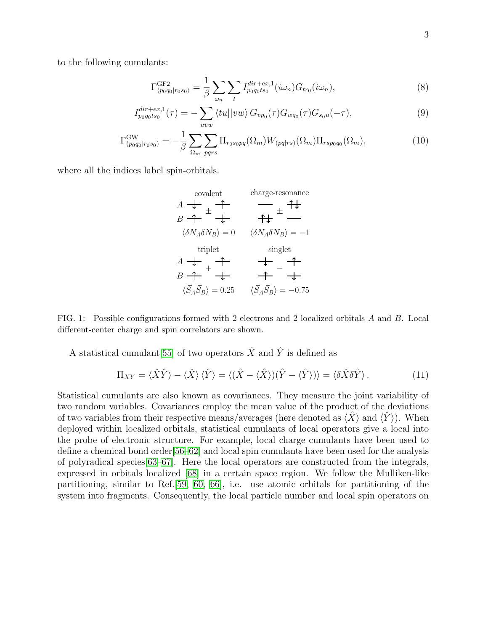to the following cumulants:

$$
\Gamma_{\langle p_0 q_0 | r_0 s_0 \rangle}^{\text{GF2}} = \frac{1}{\beta} \sum_{\omega_n} \sum_t I_{p_0 q_0 t s_0}^{dir + ex,1} (i\omega_n) G_{tr_0} (i\omega_n), \tag{8}
$$

$$
I_{p_0q_0ts_0}^{dir+ex,1}(\tau) = -\sum_{uvw} \langle tu || vw \rangle G_{vp_0}(\tau) G_{wq_0}(\tau) G_{s_0u}(-\tau), \tag{9}
$$

$$
\Gamma^{\text{GW}}_{(p_0q_0|r_0s_0)} = -\frac{1}{\beta} \sum_{\Omega_m} \sum_{pqrs} \Pi_{r_0s_0pq}(\Omega_m) W_{(pq|rs)}(\Omega_m) \Pi_{rsp_0q_0}(\Omega_m), \tag{10}
$$

where all the indices label spin-orbitals.

$$
A \leftarrow A
$$
  
\n
$$
B \leftarrow A
$$
  
\n
$$
\begin{array}{ccc}\n\downarrow & \uparrow & \uparrow \\
\downarrow & \downarrow & \downarrow\n\end{array}
$$
  
\n
$$
\begin{array}{ccc}\n\langle \delta N_A \delta N_B \rangle = 0 & \langle \delta N_A \delta N_B \rangle = -1 \\
\downarrow & \downarrow & \downarrow\n\end{array}
$$
  
\n
$$
A \leftarrow A
$$
  
\n
$$
B \leftarrow A
$$
  
\n
$$
\begin{array}{ccc}\n\downarrow & \uparrow & \downarrow \\
\downarrow & \downarrow & \downarrow\n\end{array}
$$
  
\n
$$
\begin{array}{ccc}\n\downarrow & \downarrow & \downarrow \\
\downarrow & \downarrow & \downarrow\n\end{array}
$$
  
\n
$$
\begin{array}{ccc}\n\downarrow & \downarrow & \downarrow \\
\downarrow & \downarrow & \downarrow\n\end{array}
$$
  
\n
$$
\begin{array}{ccc}\n\downarrow & \downarrow & \downarrow \\
\downarrow & \downarrow & \downarrow\n\end{array}
$$
  
\n
$$
\begin{array}{ccc}\n\downarrow & \downarrow & \downarrow \\
\downarrow & \downarrow & \downarrow\n\end{array}
$$
  
\n
$$
\begin{array}{ccc}\n\langle \vec{S}_A \vec{S}_B \rangle = 0.25 & \langle \vec{S}_A \vec{S}_B \rangle = -0.75\n\end{array}
$$

<span id="page-2-0"></span>FIG. 1: Possible configurations formed with 2 electrons and 2 localized orbitals A and B. Local different-center charge and spin correlators are shown.

A statistical cumulant [\[55\]](#page-13-5) of two operators  $\hat{X}$  and  $\hat{Y}$  is defined as

$$
\Pi_{XY} = \langle \hat{X}\hat{Y} \rangle - \langle \hat{X} \rangle \langle \hat{Y} \rangle = \langle (\hat{X} - \langle \hat{X} \rangle)(\hat{Y} - \langle \hat{Y} \rangle) \rangle = \langle \delta \hat{X} \delta \hat{Y} \rangle. \tag{11}
$$

Statistical cumulants are also known as covariances. They measure the joint variability of two random variables. Covariances employ the mean value of the product of the deviations of two variables from their respective means/averages (here denoted as  $\langle X \rangle$  and  $\langle Y \rangle$ ). When deployed within localized orbitals, statistical cumulants of local operators give a local into the probe of electronic structure. For example, local charge cumulants have been used to define a chemical bond order[\[56](#page-13-6)[–62\]](#page-14-0) and local spin cumulants have been used for the analysis of polyradical species[\[63–](#page-14-1)[67\]](#page-14-2). Here the local operators are constructed from the integrals, expressed in orbitals localized [\[68\]](#page-14-3) in a certain space region. We follow the Mulliken-like partitioning, similar to Ref.[\[59,](#page-14-4) [60,](#page-14-5) [66\]](#page-14-6), i.e. use atomic orbitals for partitioning of the system into fragments. Consequently, the local particle number and local spin operators on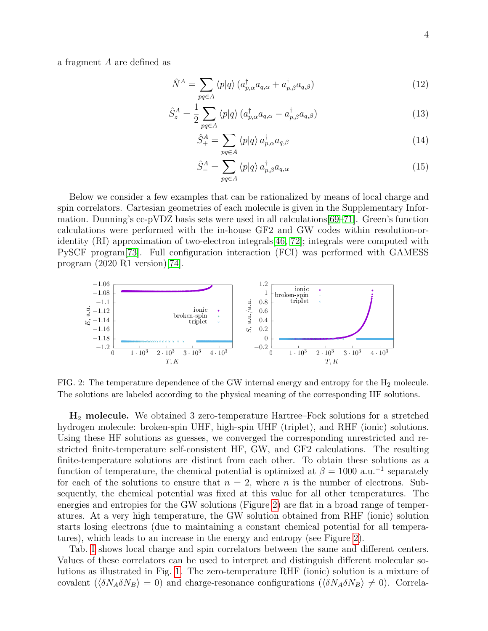a fragment A are defined as

$$
\hat{N}^{A} = \sum_{pq \in A} \langle p|q \rangle \left( a_{p,\alpha}^{\dagger} a_{q,\alpha} + a_{p,\beta}^{\dagger} a_{q,\beta} \right) \tag{12}
$$

$$
\hat{S}_z^A = \frac{1}{2} \sum_{pq \in A} \langle p|q \rangle \left( a_{p,\alpha}^\dagger a_{q,\alpha} - a_{p,\beta}^\dagger a_{q,\beta} \right) \tag{13}
$$

$$
\hat{S}^A_+ = \sum_{pq \in A} \langle p|q \rangle \, a^{\dagger}_{p,\alpha} a_{q,\beta} \tag{14}
$$

$$
\hat{S}_{-}^{A} = \sum_{pq \in A} \langle p|q \rangle a_{p,\beta}^{\dagger} a_{q,\alpha} \tag{15}
$$

Below we consider a few examples that can be rationalized by means of local charge and spin correlators. Cartesian geometries of each molecule is given in the Supplementary Information. Dunning's cc-pVDZ basis sets were used in all calculations[\[69–](#page-14-7)[71\]](#page-15-0). Green's function calculations were performed with the in-house GF2 and GW codes within resolution-oridentity (RI) approximation of two-electron integrals[\[46,](#page-13-7) [72\]](#page-15-1); integrals were computed with PySCF program[\[73\]](#page-15-2). Full configuration interaction (FCI) was performed with GAMESS program (2020 R1 version)[\[74\]](#page-15-3).



<span id="page-3-0"></span>FIG. 2: The temperature dependence of the GW internal energy and entropy for the H<sub>2</sub> molecule. The solutions are labeled according to the physical meaning of the corresponding HF solutions.

H<sup>2</sup> molecule. We obtained 3 zero-temperature Hartree–Fock solutions for a stretched hydrogen molecule: broken-spin UHF, high-spin UHF (triplet), and RHF (ionic) solutions. Using these HF solutions as guesses, we converged the corresponding unrestricted and restricted finite-temperature self-consistent HF, GW, and GF2 calculations. The resulting finite-temperature solutions are distinct from each other. To obtain these solutions as a function of temperature, the chemical potential is optimized at  $\beta = 1000$  a.u.<sup>-1</sup> separately for each of the solutions to ensure that  $n = 2$ , where n is the number of electrons. Subsequently, the chemical potential was fixed at this value for all other temperatures. The energies and entropies for the GW solutions (Figure [2\)](#page-3-0) are flat in a broad range of temperatures. At a very high temperature, the GW solution obtained from RHF (ionic) solution starts losing electrons (due to maintaining a constant chemical potential for all temperatures), which leads to an increase in the energy and entropy (see Figure [2\)](#page-3-0).

Tab. [I](#page-4-0) shows local charge and spin correlators between the same and different centers. Values of these correlators can be used to interpret and distinguish different molecular solutions as illustrated in Fig. [1.](#page-2-0) The zero-temperature RHF (ionic) solution is a mixture of covalent  $(\langle \delta N_A \delta N_B \rangle = 0)$  and charge-resonance configurations  $(\langle \delta N_A \delta N_B \rangle \neq 0)$ . Correla-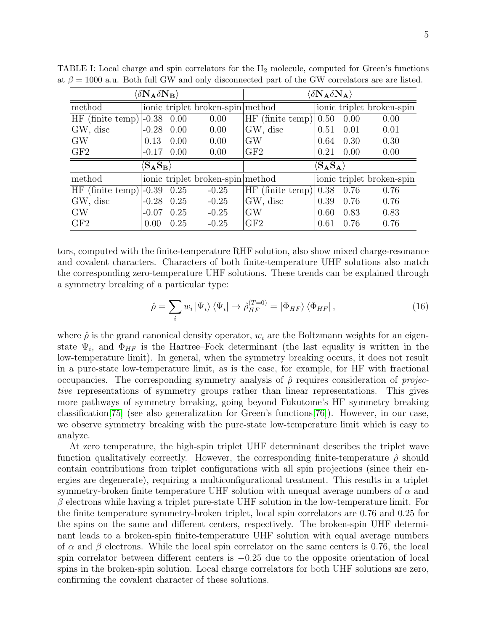| $\langle \delta {\bf N_A} \delta {\bf N_B} \rangle$ |                                                               |      | $\langle \delta {\bf N_A} \delta {\bf N_A} \rangle$ |                         |                                     |      |                           |
|-----------------------------------------------------|---------------------------------------------------------------|------|-----------------------------------------------------|-------------------------|-------------------------------------|------|---------------------------|
| method                                              |                                                               |      | ionic triplet broken-spin method                    |                         |                                     |      | ionic triplet broken-spin |
| HF (finite temp) $ -0.38$ 0.00                      |                                                               |      | 0.00                                                | HF (finite temp) $0.50$ |                                     | 0.00 | 0.00                      |
| GW, disc                                            | $-0.28$                                                       | 0.00 | 0.00                                                | GW, disc                | 0.51                                | 0.01 | 0.01                      |
| <b>GW</b>                                           | 0.13                                                          | 0.00 | 0.00                                                | <b>GW</b>               | 0.64                                | 0.30 | 0.30                      |
| GF2                                                 | $-0.17$                                                       | 0.00 | 0.00                                                | GF <sub>2</sub>         | 0.21                                | 0.00 | 0.00                      |
|                                                     | $\langle \mathrm{S}_\mathrm{A} \mathrm{S}_\mathrm{B} \rangle$ |      |                                                     |                         | $\langle \bf{S}_A \bf{S}_A \rangle$ |      |                           |
|                                                     |                                                               |      |                                                     |                         |                                     |      |                           |
| method                                              |                                                               |      | ionic triplet broken-spin method                    |                         |                                     |      | ionic triplet broken-spin |
| $HF$ (finite temp)                                  | $-0.39$                                                       | 0.25 | $-0.25$                                             | HF (finite temp) $0.38$ |                                     | 0.76 | 0.76                      |
| GW, disc                                            | $-0.28$                                                       | 0.25 | $-0.25$                                             | GW, disc                | 0.39                                | 0.76 | 0.76                      |
| <b>GW</b>                                           | $-0.07$                                                       | 0.25 | $-0.25$                                             | <b>GW</b>               | 0.60                                | 0.83 | 0.83                      |

<span id="page-4-0"></span>TABLE I: Local charge and spin correlators for the  $H_2$  molecule, computed for Green's functions at  $\beta = 1000$  a.u. Both full GW and only disconnected part of the GW correlators are are listed.

tors, computed with the finite-temperature RHF solution, also show mixed charge-resonance and covalent characters. Characters of both finite-temperature UHF solutions also match the corresponding zero-temperature UHF solutions. These trends can be explained through a symmetry breaking of a particular type:

<span id="page-4-1"></span>
$$
\hat{\rho} = \sum_{i} w_{i} \left| \Psi_{i} \right\rangle \left\langle \Psi_{i} \right| \to \hat{\rho}_{HF}^{(T=0)} = \left| \Phi_{HF} \right\rangle \left\langle \Phi_{HF} \right|, \tag{16}
$$

where  $\hat{\rho}$  is the grand canonical density operator,  $w_i$  are the Boltzmann weights for an eigenstate  $\Psi_i$ , and  $\Phi_{HF}$  is the Hartree–Fock determinant (the last equality is written in the low-temperature limit). In general, when the symmetry breaking occurs, it does not result in a pure-state low-temperature limit, as is the case, for example, for HF with fractional occupancies. The corresponding symmetry analysis of  $\hat{\rho}$  requires consideration of *projec*tive representations of symmetry groups rather than linear representations. This gives more pathways of symmetry breaking, going beyond Fukutome's HF symmetry breaking classification[\[75\]](#page-15-4) (see also generalization for Green's functions[\[76\]](#page-15-5)). However, in our case, we observe symmetry breaking with the pure-state low-temperature limit which is easy to analyze.

At zero temperature, the high-spin triplet UHF determinant describes the triplet wave function qualitatively correctly. However, the corresponding finite-temperature  $\hat{\rho}$  should contain contributions from triplet configurations with all spin projections (since their energies are degenerate), requiring a multiconfigurational treatment. This results in a triplet symmetry-broken finite temperature UHF solution with unequal average numbers of  $\alpha$  and  $\beta$  electrons while having a triplet pure-state UHF solution in the low-temperature limit. For the finite temperature symmetry-broken triplet, local spin correlators are 0.76 and 0.25 for the spins on the same and different centers, respectively. The broken-spin UHF determinant leads to a broken-spin finite-temperature UHF solution with equal average numbers of  $\alpha$  and  $\beta$  electrons. While the local spin correlator on the same centers is 0.76, the local spin correlator between different centers is −0.25 due to the opposite orientation of local spins in the broken-spin solution. Local charge correlators for both UHF solutions are zero, confirming the covalent character of these solutions.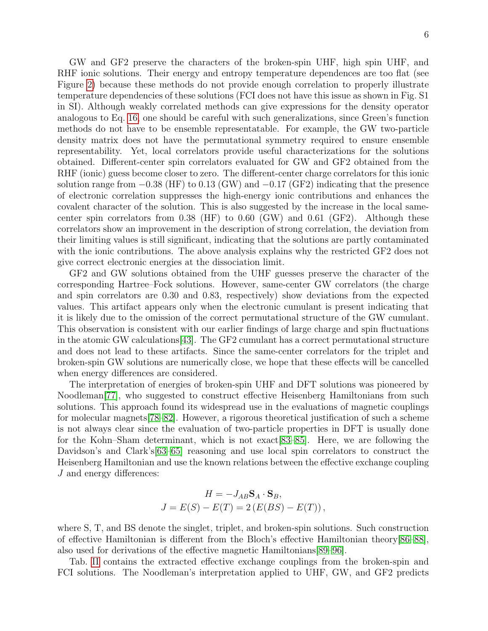GW and GF2 preserve the characters of the broken-spin UHF, high spin UHF, and RHF ionic solutions. Their energy and entropy temperature dependences are too flat (see Figure [2\)](#page-3-0) because these methods do not provide enough correlation to properly illustrate temperature dependencies of these solutions (FCI does not have this issue as shown in Fig. S1 in SI). Although weakly correlated methods can give expressions for the density operator analogous to Eq. [16,](#page-4-1) one should be careful with such generalizations, since Green's function methods do not have to be ensemble representatable. For example, the GW two-particle density matrix does not have the permutational symmetry required to ensure ensemble representability. Yet, local correlators provide useful characterizations for the solutions obtained. Different-center spin correlators evaluated for GW and GF2 obtained from the RHF (ionic) guess become closer to zero. The different-center charge correlators for this ionic solution range from  $-0.38$  (HF) to 0.13 (GW) and  $-0.17$  (GF2) indicating that the presence of electronic correlation suppresses the high-energy ionic contributions and enhances the covalent character of the solution. This is also suggested by the increase in the local samecenter spin correlators from 0.38 (HF) to 0.60 (GW) and 0.61 (GF2). Although these correlators show an improvement in the description of strong correlation, the deviation from their limiting values is still significant, indicating that the solutions are partly contaminated with the ionic contributions. The above analysis explains why the restricted GF2 does not give correct electronic energies at the dissociation limit.

GF2 and GW solutions obtained from the UHF guesses preserve the character of the corresponding Hartree–Fock solutions. However, same-center GW correlators (the charge and spin correlators are 0.30 and 0.83, respectively) show deviations from the expected values. This artifact appears only when the electronic cumulant is present indicating that it is likely due to the omission of the correct permutational structure of the GW cumulant. This observation is consistent with our earlier findings of large charge and spin fluctuations in the atomic GW calculations[\[43\]](#page-13-0). The GF2 cumulant has a correct permutational structure and does not lead to these artifacts. Since the same-center correlators for the triplet and broken-spin GW solutions are numerically close, we hope that these effects will be cancelled when energy differences are considered.

The interpretation of energies of broken-spin UHF and DFT solutions was pioneered by Noodleman[\[77\]](#page-15-6), who suggested to construct effective Heisenberg Hamiltonians from such solutions. This approach found its widespread use in the evaluations of magnetic couplings for molecular magnets[\[78–](#page-15-7)[82\]](#page-16-0). However, a rigorous theoretical justification of such a scheme is not always clear since the evaluation of two-particle properties in DFT is usually done for the Kohn–Sham determinant, which is not exact[\[83–](#page-16-1)[85\]](#page-16-2). Here, we are following the Davidson's and Clark's<sup>[\[63–](#page-14-1)[65\]](#page-14-8)</sup> reasoning and use local spin correlators to construct the Heisenberg Hamiltonian and use the known relations between the effective exchange coupling J and energy differences:

$$
H = -J_{AB}\mathbf{S}_A \cdot \mathbf{S}_B,
$$
  

$$
J = E(S) - E(T) = 2(E(BS) - E(T)),
$$

where S, T, and BS denote the singlet, triplet, and broken-spin solutions. Such construction of effective Hamiltonian is different from the Bloch's effective Hamiltonian theory[\[86–](#page-16-3)[88\]](#page-16-4), also used for derivations of the effective magnetic Hamiltonians[\[89](#page-16-5)[–96\]](#page-17-0).

Tab. [II](#page-6-0) contains the extracted effective exchange couplings from the broken-spin and FCI solutions. The Noodleman's interpretation applied to UHF, GW, and GF2 predicts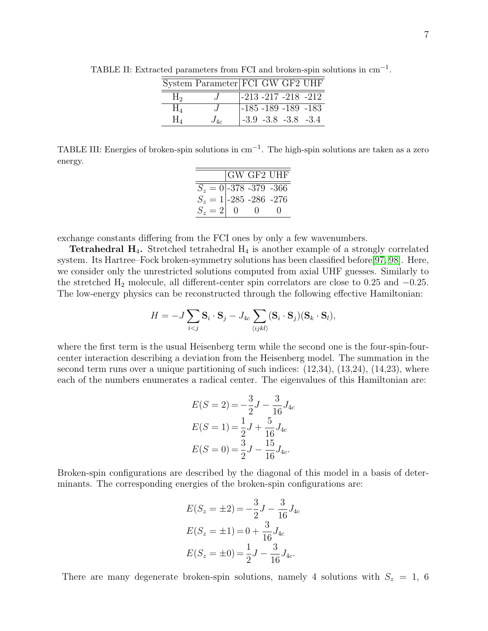<span id="page-6-0"></span>

|                | System Parameter FCI GW GF2 UHF |  |                           |  |
|----------------|---------------------------------|--|---------------------------|--|
| H <sub>2</sub> |                                 |  | $ -213 - 217 - 218 - 212$ |  |
| ${\rm H}_4$    |                                 |  | $ -185 - 189 - 189 - 183$ |  |
| $H_{4}$        | $J_{4c}$                        |  | $-3.9 -3.8 -3.8 -3.4$     |  |

TABLE II: Extracted parameters from FCI and broken-spin solutions in cm<sup>-1</sup>.

<span id="page-6-1"></span>TABLE III: Energies of broken-spin solutions in cm−<sup>1</sup> . The high-spin solutions are taken as a zero energy.

|                                                      |   |   | $ GW \text{ GF2 UHF} $ |
|------------------------------------------------------|---|---|------------------------|
|                                                      |   |   |                        |
| $S_z = 0$ -378 -379 -366<br>$S_z = 1$ -285 -286 -276 |   |   |                        |
| $S_z = 2$                                            | 0 | ∩ |                        |

exchange constants differing from the FCI ones by only a few wavenumbers.

**Tetrahedral H<sub>4</sub>.** Stretched tetrahedral  $H_4$  is another example of a strongly correlated system. Its Hartree–Fock broken-symmetry solutions has been classified before[\[97,](#page-17-1) [98\]](#page-17-2). Here, we consider only the unrestricted solutions computed from axial UHF guesses. Similarly to the stretched  $H_2$  molecule, all different-center spin correlators are close to 0.25 and  $-0.25$ . The low-energy physics can be reconstructed through the following effective Hamiltonian:

$$
H = -J\sum_{i
$$

where the first term is the usual Heisenberg term while the second one is the four-spin-fourcenter interaction describing a deviation from the Heisenberg model. The summation in the second term runs over a unique partitioning of such indices:  $(12,34)$ ,  $(13,24)$ ,  $(14,23)$ , where each of the numbers enumerates a radical center. The eigenvalues of this Hamiltonian are:

$$
E(S = 2) = -\frac{3}{2}J - \frac{3}{16}J_{4c}
$$
  
\n
$$
E(S = 1) = \frac{1}{2}J + \frac{5}{16}J_{4c}
$$
  
\n
$$
E(S = 0) = \frac{3}{2}J - \frac{15}{16}J_{4c}.
$$

Broken-spin configurations are described by the diagonal of this model in a basis of determinants. The corresponding energies of the broken-spin configurations are:

$$
E(S_z = \pm 2) = -\frac{3}{2}J - \frac{3}{16}J_{4c}
$$
  
\n
$$
E(S_z = \pm 1) = 0 + \frac{3}{16}J_{4c}
$$
  
\n
$$
E(S_z = \pm 0) = \frac{1}{2}J - \frac{3}{16}J_{4c}.
$$

There are many degenerate broken-spin solutions, namely 4 solutions with  $S_z = 1, 6$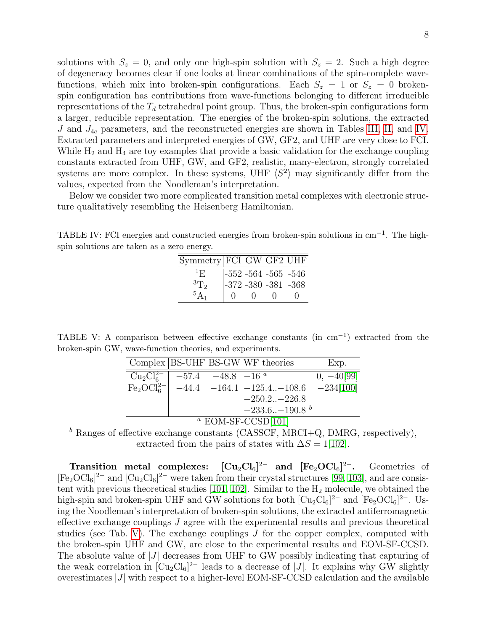solutions with  $S_z = 0$ , and only one high-spin solution with  $S_z = 2$ . Such a high degree of degeneracy becomes clear if one looks at linear combinations of the spin-complete wavefunctions, which mix into broken-spin configurations. Each  $S_z = 1$  or  $S_z = 0$  brokenspin configuration has contributions from wave-functions belonging to different irreducible representations of the  $T_d$  tetrahedral point group. Thus, the broken-spin configurations form a larger, reducible representation. The energies of the broken-spin solutions, the extracted J and  $J_{4c}$  parameters, and the reconstructed energies are shown in Tables [III,](#page-6-1) [II,](#page-6-0) and [IV.](#page-7-0) Extracted parameters and interpreted energies of GW, GF2, and UHF are very close to FCI. While  $H_2$  and  $H_4$  are toy examples that provide a basic validation for the exchange coupling constants extracted from UHF, GW, and GF2, realistic, many-electron, strongly correlated systems are more complex. In these systems, UHF  $\langle S^2 \rangle$  may significantly differ from the values, expected from the Noodleman's interpretation.

Below we consider two more complicated transition metal complexes with electronic structure qualitatively resembling the Heisenberg Hamiltonian.

<span id="page-7-0"></span>TABLE IV: FCI energies and constructed energies from broken-spin solutions in cm<sup>-1</sup>. The highspin solutions are taken as a zero energy.

| Symmetry FCI GW GF2 UHF |              |        |                                            |  |
|-------------------------|--------------|--------|--------------------------------------------|--|
| ${}^{1}$ F)             |              |        |                                            |  |
| ${}^{3}T_{2}$           |              |        | -552 -564 -565 -546<br>-372 -380 -381 -368 |  |
| ${}^5A_1$               | $\mathbf{I}$ | $\cup$ | $\Box$                                     |  |

TABLE V: A comparison between effective exchange constants (in cm−<sup>1</sup> ) extracted from the broken-spin GW, wave-function theories, and experiments.

<span id="page-7-1"></span>

|                               |                                               | Complex BS-UHF BS-GW WF theories               | Exp.         |
|-------------------------------|-----------------------------------------------|------------------------------------------------|--------------|
| $\text{Cu}_2\text{Cl}_6^{2-}$ | $\vert -57.4 \vert -48.8 \vert -16^{a} \vert$ |                                                | $0, -40[99]$ |
| $Fe2OCl62–$                   |                                               | $-44.4$ $-164.1$ $-125.4$ $-108.6$ $-234[100]$ |              |
|                               |                                               | $-250.2 - 226.8$                               |              |
|                               |                                               | $-233.6(-190.8b)$                              |              |
|                               |                                               | $2.521625$ $0.7225$ $1.21$                     |              |

## $a$  EOM-SF-CCSD[\[101\]](#page-17-5)

<sup>b</sup> Ranges of effective exchange constants (CASSCF, MRCI+Q, DMRG, respectively), extracted from the pairs of states with  $\Delta S = 1$ [\[102\]](#page-17-6).

Transition metal complexes:  $[Cu_2Cl_6]^{2-}$  and  $[Fe_2OCl_6]^{2-}$ . <sup>2</sup><sup>−</sup>. Geometries of  $[Fe<sub>2</sub>OCl<sub>6</sub>]<sup>2-</sup>$  and  $[Cu<sub>2</sub>Cl<sub>6</sub>]<sup>2-</sup>$  were taken from their crystal structures [\[99,](#page-17-3) [103\]](#page-17-7), and are consistent with previous theoretical studies  $[101, 102]$  $[101, 102]$ . Similar to the  $H_2$  molecule, we obtained the high-spin and broken-spin UHF and GW solutions for both  $\text{[Cu}_2\text{Cl}_6\text{]}^{\text{2-}}$  and  $\text{[Fe}_2\text{OCl}_6\text{]}^{\text{2-}}$ . Using the Noodleman's interpretation of broken-spin solutions, the extracted antiferromagnetic effective exchange couplings J agree with the experimental results and previous theoretical studies (see Tab. [V\)](#page-7-1). The exchange couplings  $J$  for the copper complex, computed with the broken-spin UHF and GW, are close to the experimental results and EOM-SF-CCSD. The absolute value of  $|J|$  decreases from UHF to GW possibly indicating that capturing of the weak correlation in  $\left[\text{Cu}_2\text{Cl}_6\right]^2$  leads to a decrease of |J|. It explains why GW slightly overestimates  $|J|$  with respect to a higher-level EOM-SF-CCSD calculation and the available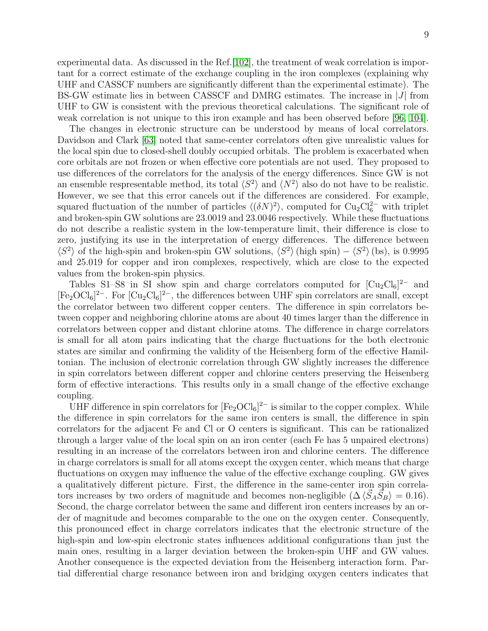experimental data. As discussed in the Ref.[\[102\]](#page-17-6), the treatment of weak correlation is important for a correct estimate of the exchange coupling in the iron complexes (explaining why UHF and CASSCF numbers are significantly different than the experimental estimate). The BS-GW estimate lies in between CASSCF and DMRG estimates. The increase in  $|J|$  from UHF to GW is consistent with the previous theoretical calculations. The significant role of weak correlation is not unique to this iron example and has been observed before [\[96,](#page-17-0) [104\]](#page-17-8).

The changes in electronic structure can be understood by means of local correlators. Davidson and Clark [\[63\]](#page-14-1) noted that same-center correlators often give unrealistic values for the local spin due to closed-shell doubly occupied orbitals. The problem is exacerbated when core orbitals are not frozen or when effective core potentials are not used. They proposed to use differences of the correlators for the analysis of the energy differences. Since GW is not an ensemble respresentable method, its total  $\langle S^2 \rangle$  and  $\langle N^2 \rangle$  also do not have to be realistic. However, we see that this error cancels out if the differences are considered. For example, squared fluctuation of the number of particles  $\langle (\delta N)^2 \rangle$ , computed for Cu<sub>2</sub>Cl<sub>6</sub><sup>2</sup> with triplet and broken-spin GW solutions are 23.0019 and 23.0046 respectively. While these fluctuations do not describe a realistic system in the low-temperature limit, their difference is close to zero, justifying its use in the interpretation of energy differences. The difference between  $\langle S^2 \rangle$  of the high-spin and broken-spin GW solutions,  $\langle S^2 \rangle$  (high spin) –  $\langle S^2 \rangle$  (bs), is 0.9995 and 25.019 for copper and iron complexes, respectively, which are close to the expected values from the broken-spin physics.

Tables S1–S8 in SI show spin and charge correlators computed for  $[Cu_2Cl_6]^{2-}$  and  $[Fe<sub>2</sub>OCl<sub>6</sub>]<sup>2-</sup>$ . For  $[Cu<sub>2</sub>Cl<sub>6</sub>]<sup>2-</sup>$ , the differences between UHF spin correlators are small, except the correlator between two different copper centers. The difference in spin correlators between copper and neighboring chlorine atoms are about 40 times larger than the difference in correlators between copper and distant chlorine atoms. The difference in charge correlators is small for all atom pairs indicating that the charge fluctuations for the both electronic states are similar and confirming the validity of the Heisenberg form of the effective Hamiltonian. The inclusion of electronic correlation through GW slightly increases the difference in spin correlators between different copper and chlorine centers preserving the Heisenberg form of effective interactions. This results only in a small change of the effective exchange coupling.

UHF difference in spin correlators for  $[Fe<sub>2</sub>OCl<sub>6</sub>]<sup>2-</sup>$  is similar to the copper complex. While the difference in spin correlators for the same iron centers is small, the difference in spin correlators for the adjacent Fe and Cl or O centers is significant. This can be rationalized through a larger value of the local spin on an iron center (each Fe has 5 unpaired electrons) resulting in an increase of the correlators between iron and chlorine centers. The difference in charge correlators is small for all atoms except the oxygen center, which means that charge fluctuations on oxygen may influence the value of the effective exchange coupling. GW gives a qualitatively different picture. First, the difference in the same-center iron spin correlators increases by two orders of magnitude and becomes non-negligible  $(\Delta \langle \vec{S}_A \vec{S}_B \rangle = 0.16)$ . Second, the charge correlator between the same and different iron centers increases by an order of magnitude and becomes comparable to the one on the oxygen center. Consequently, this pronounced effect in charge correlators indicates that the electronic structure of the high-spin and low-spin electronic states influences additional configurations than just the main ones, resulting in a larger deviation between the broken-spin UHF and GW values. Another consequence is the expected deviation from the Heisenberg interaction form. Partial differential charge resonance between iron and bridging oxygen centers indicates that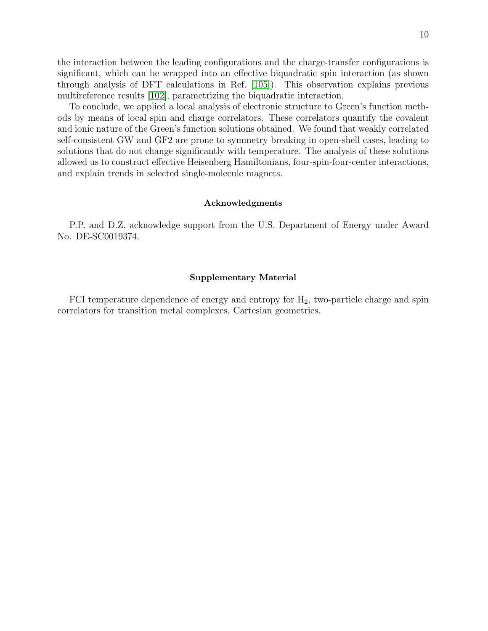the interaction between the leading configurations and the charge-transfer configurations is significant, which can be wrapped into an effective biquadratic spin interaction (as shown through analysis of DFT calculations in Ref. [\[105\]](#page-18-0)). This observation explains previous multireference results [\[102\]](#page-17-6), parametrizing the biquadratic interaction.

To conclude, we applied a local analysis of electronic structure to Green's function methods by means of local spin and charge correlators. These correlators quantify the covalent and ionic nature of the Green's function solutions obtained. We found that weakly correlated self-consistent GW and GF2 are prone to symmetry breaking in open-shell cases, leading to solutions that do not change significantly with temperature. The analysis of these solutions allowed us to construct effective Heisenberg Hamiltonians, four-spin-four-center interactions, and explain trends in selected single-molecule magnets.

## Acknowledgments

P.P. and D.Z. acknowledge support from the U.S. Department of Energy under Award No. DE-SC0019374.

## Supplementary Material

FCI temperature dependence of energy and entropy for  $H_2$ , two-particle charge and spin correlators for transition metal complexes, Cartesian geometries.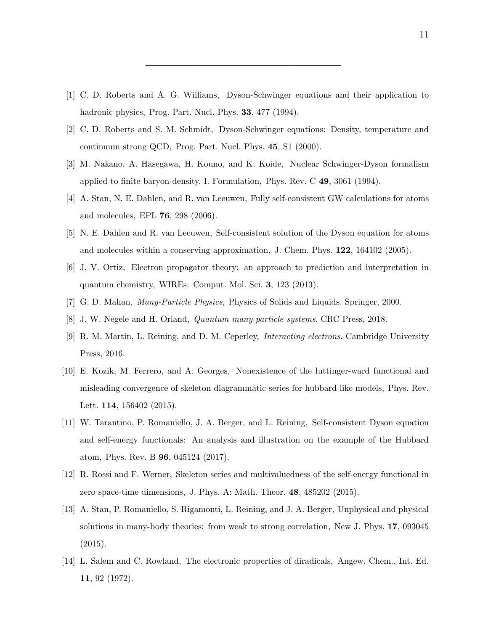- <span id="page-10-0"></span>[1] C. D. Roberts and A. G. Williams, Dyson-Schwinger equations and their application to hadronic physics, Prog. Part. Nucl. Phys. **33**, 477 (1994).
- [2] C. D. Roberts and S. M. Schmidt, Dyson-Schwinger equations: Density, temperature and continuum strong QCD, Prog. Part. Nucl. Phys. 45, S1 (2000).
- <span id="page-10-1"></span>[3] M. Nakano, A. Hasegawa, H. Kouno, and K. Koide, Nuclear Schwinger-Dyson formalism applied to finite baryon density. I. Formulation, Phys. Rev. C 49, 3061 (1994).
- <span id="page-10-2"></span>[4] A. Stan, N. E. Dahlen, and R. van Leeuwen, Fully self-consistent GW calculations for atoms and molecules, EPL 76, 298 (2006).
- <span id="page-10-9"></span>[5] N. E. Dahlen and R. van Leeuwen, Self-consistent solution of the Dyson equation for atoms and molecules within a conserving approximation, J. Chem. Phys. 122, 164102 (2005).
- <span id="page-10-3"></span>[6] J. V. Ortiz, Electron propagator theory: an approach to prediction and interpretation in quantum chemistry, WIREs: Comput. Mol. Sci. 3, 123 (2013).
- <span id="page-10-4"></span>[7] G. D. Mahan, Many-Particle Physics, Physics of Solids and Liquids. Springer, 2000.
- <span id="page-10-5"></span>[8] J. W. Negele and H. Orland, Quantum many-particle systems. CRC Press, 2018.
- [9] R. M. Martin, L. Reining, and D. M. Ceperley, Interacting electrons. Cambridge University Press, 2016.
- <span id="page-10-6"></span>[10] E. Kozik, M. Ferrero, and A. Georges, Nonexistence of the luttinger-ward functional and misleading convergence of skeleton diagrammatic series for hubbard-like models, Phys. Rev. Lett. **114**, 156402 (2015).
- [11] W. Tarantino, P. Romaniello, J. A. Berger, and L. Reining, Self-consistent Dyson equation and self-energy functionals: An analysis and illustration on the example of the Hubbard atom, Phys. Rev. B 96, 045124 (2017).
- [12] R. Rossi and F. Werner, Skeleton series and multivaluedness of the self-energy functional in zero space-time dimensions, J. Phys. A: Math. Theor. 48, 485202 (2015).
- <span id="page-10-7"></span>[13] A. Stan, P. Romaniello, S. Rigamonti, L. Reining, and J. A. Berger, Unphysical and physical solutions in many-body theories: from weak to strong correlation, New J. Phys. 17, 093045  $(2015).$
- <span id="page-10-8"></span>[14] L. Salem and C. Rowland, The electronic properties of diradicals, Angew. Chem., Int. Ed. 11, 92 (1972).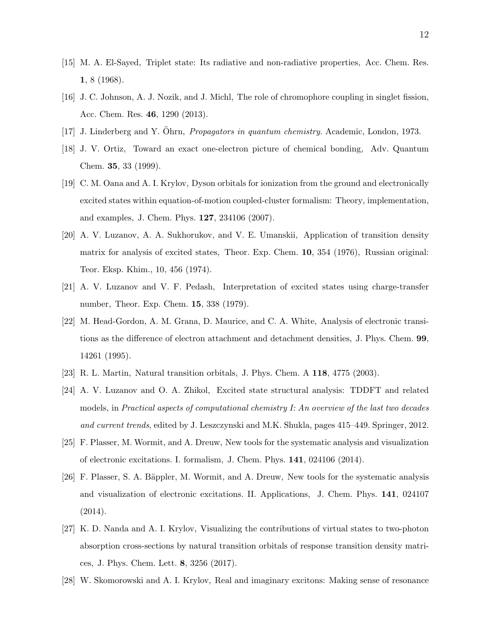- [15] M. A. El-Sayed, Triplet state: Its radiative and non-radiative properties, Acc. Chem. Res. 1, 8 (1968).
- [16] J. C. Johnson, A. J. Nozik, and J. Michl, The role of chromophore coupling in singlet fission, Acc. Chem. Res. 46, 1290 (2013).
- [17] J. Linderberg and Y. Öhrn, *Propagators in quantum chemistry*. Academic, London, 1973.
- [18] J. V. Ortiz, Toward an exact one-electron picture of chemical bonding, Adv. Quantum Chem. 35, 33 (1999).
- [19] C. M. Oana and A. I. Krylov, Dyson orbitals for ionization from the ground and electronically excited states within equation-of-motion coupled-cluster formalism: Theory, implementation, and examples, J. Chem. Phys. 127, 234106 (2007).
- [20] A. V. Luzanov, A. A. Sukhorukov, and V. E. Umanskii, Application of transition density matrix for analysis of excited states, Theor. Exp. Chem. 10, 354 (1976), Russian original: Teor. Eksp. Khim., 10, 456 (1974).
- [21] A. V. Luzanov and V. F. Pedash, Interpretation of excited states using charge-transfer number, Theor. Exp. Chem. 15, 338 (1979).
- [22] M. Head-Gordon, A. M. Grana, D. Maurice, and C. A. White, Analysis of electronic transitions as the difference of electron attachment and detachment densities, J. Phys. Chem. 99, 14261 (1995).
- [23] R. L. Martin, Natural transition orbitals, J. Phys. Chem. A 118, 4775 (2003).
- [24] A. V. Luzanov and O. A. Zhikol, Excited state structural analysis: TDDFT and related models, in Practical aspects of computational chemistry I: An overview of the last two decades and current trends, edited by J. Leszczynski and M.K. Shukla, pages 415–449. Springer, 2012.
- [25] F. Plasser, M. Wormit, and A. Dreuw, New tools for the systematic analysis and visualization of electronic excitations. I. formalism, J. Chem. Phys. 141, 024106 (2014).
- [26] F. Plasser, S. A. Bäppler, M. Wormit, and A. Dreuw, New tools for the systematic analysis and visualization of electronic excitations. II. Applications, J. Chem. Phys. 141, 024107 (2014).
- [27] K. D. Nanda and A. I. Krylov, Visualizing the contributions of virtual states to two-photon absorption cross-sections by natural transition orbitals of response transition density matrices, J. Phys. Chem. Lett. 8, 3256 (2017).
- [28] W. Skomorowski and A. I. Krylov, Real and imaginary excitons: Making sense of resonance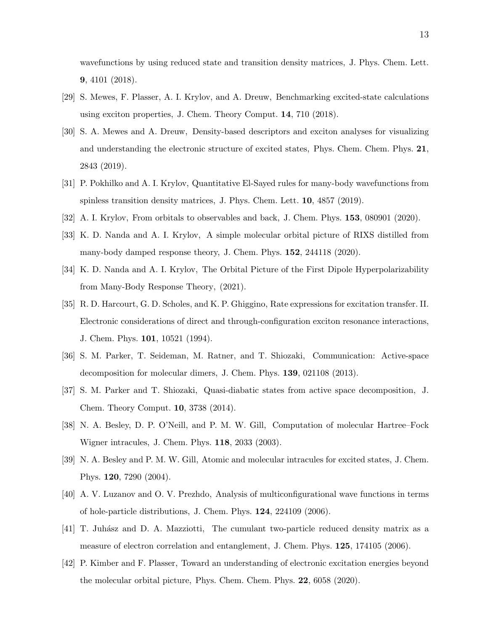wavefunctions by using reduced state and transition density matrices, J. Phys. Chem. Lett. 9, 4101 (2018).

- [29] S. Mewes, F. Plasser, A. I. Krylov, and A. Dreuw, Benchmarking excited-state calculations using exciton properties, J. Chem. Theory Comput. 14, 710 (2018).
- [30] S. A. Mewes and A. Dreuw, Density-based descriptors and exciton analyses for visualizing and understanding the electronic structure of excited states, Phys. Chem. Chem. Phys. 21, 2843 (2019).
- [31] P. Pokhilko and A. I. Krylov, Quantitative El-Sayed rules for many-body wavefunctions from spinless transition density matrices, J. Phys. Chem. Lett. **10**, 4857 (2019).
- [32] A. I. Krylov, From orbitals to observables and back, J. Chem. Phys. 153, 080901 (2020).
- [33] K. D. Nanda and A. I. Krylov, A simple molecular orbital picture of RIXS distilled from many-body damped response theory, J. Chem. Phys. 152, 244118 (2020).
- <span id="page-12-0"></span>[34] K. D. Nanda and A. I. Krylov, The Orbital Picture of the First Dipole Hyperpolarizability from Many-Body Response Theory, (2021).
- <span id="page-12-1"></span>[35] R. D. Harcourt, G. D. Scholes, and K. P. Ghiggino, Rate expressions for excitation transfer. II. Electronic considerations of direct and through-configuration exciton resonance interactions, J. Chem. Phys. 101, 10521 (1994).
- [36] S. M. Parker, T. Seideman, M. Ratner, and T. Shiozaki, Communication: Active-space decomposition for molecular dimers, J. Chem. Phys. 139, 021108 (2013).
- <span id="page-12-2"></span>[37] S. M. Parker and T. Shiozaki, Quasi-diabatic states from active space decomposition, J. Chem. Theory Comput. 10, 3738 (2014).
- <span id="page-12-3"></span>[38] N. A. Besley, D. P. O'Neill, and P. M. W. Gill, Computation of molecular Hartree–Fock Wigner intracules, J. Chem. Phys. 118, 2033 (2003).
- [39] N. A. Besley and P. M. W. Gill, Atomic and molecular intracules for excited states, J. Chem. Phys. 120, 7290 (2004).
- [40] A. V. Luzanov and O. V. Prezhdo, Analysis of multiconfigurational wave functions in terms of hole-particle distributions, J. Chem. Phys. 124, 224109 (2006).
- [41] T. Juh´asz and D. A. Mazziotti, The cumulant two-particle reduced density matrix as a measure of electron correlation and entanglement, J. Chem. Phys. 125, 174105 (2006).
- <span id="page-12-4"></span>[42] P. Kimber and F. Plasser, Toward an understanding of electronic excitation energies beyond the molecular orbital picture, Phys. Chem. Chem. Phys. 22, 6058 (2020).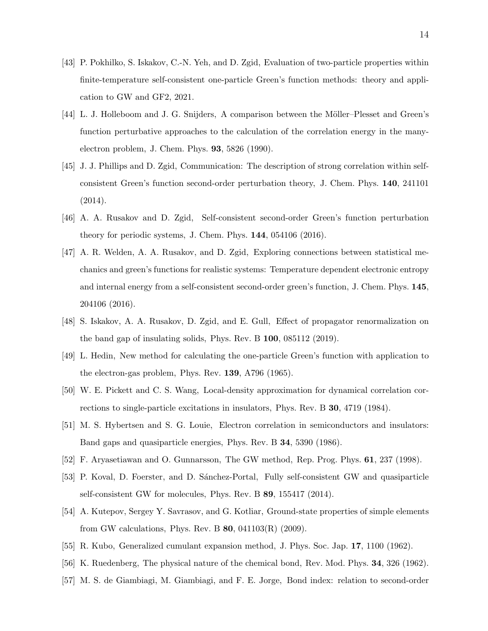- <span id="page-13-0"></span>[43] P. Pokhilko, S. Iskakov, C.-N. Yeh, and D. Zgid, Evaluation of two-particle properties within finite-temperature self-consistent one-particle Green's function methods: theory and application to GW and GF2, 2021.
- <span id="page-13-1"></span>[44] L. J. Holleboom and J. G. Snijders, A comparison between the Möller–Plesset and Green's function perturbative approaches to the calculation of the correlation energy in the manyelectron problem, J. Chem. Phys. 93, 5826 (1990).
- [45] J. J. Phillips and D. Zgid, Communication: The description of strong correlation within selfconsistent Green's function second-order perturbation theory, J. Chem. Phys. 140, 241101 (2014).
- <span id="page-13-7"></span>[46] A. A. Rusakov and D. Zgid, Self-consistent second-order Green's function perturbation theory for periodic systems, J. Chem. Phys. 144, 054106 (2016).
- [47] A. R. Welden, A. A. Rusakov, and D. Zgid, Exploring connections between statistical mechanics and green's functions for realistic systems: Temperature dependent electronic entropy and internal energy from a self-consistent second-order green's function, J. Chem. Phys. 145, 204106 (2016).
- <span id="page-13-2"></span>[48] S. Iskakov, A. A. Rusakov, D. Zgid, and E. Gull, Effect of propagator renormalization on the band gap of insulating solids, Phys. Rev. B 100, 085112 (2019).
- <span id="page-13-3"></span>[49] L. Hedin, New method for calculating the one-particle Green's function with application to the electron-gas problem, Phys. Rev. 139, A796 (1965).
- [50] W. E. Pickett and C. S. Wang, Local-density approximation for dynamical correlation corrections to single-particle excitations in insulators, Phys. Rev. B 30, 4719 (1984).
- [51] M. S. Hybertsen and S. G. Louie, Electron correlation in semiconductors and insulators: Band gaps and quasiparticle energies, Phys. Rev. B 34, 5390 (1986).
- [52] F. Aryasetiawan and O. Gunnarsson, The GW method, Rep. Prog. Phys. 61, 237 (1998).
- [53] P. Koval, D. Foerster, and D. Sánchez-Portal, Fully self-consistent GW and quasiparticle self-consistent GW for molecules, Phys. Rev. B 89, 155417 (2014).
- <span id="page-13-4"></span>[54] A. Kutepov, Sergey Y. Savrasov, and G. Kotliar, Ground-state properties of simple elements from GW calculations, Phys. Rev. B  $80$ , 041103(R) (2009).
- <span id="page-13-6"></span><span id="page-13-5"></span>[55] R. Kubo, Generalized cumulant expansion method, J. Phys. Soc. Jap. 17, 1100 (1962).
- [56] K. Ruedenberg, The physical nature of the chemical bond, Rev. Mod. Phys. 34, 326 (1962).
- [57] M. S. de Giambiagi, M. Giambiagi, and F. E. Jorge, Bond index: relation to second-order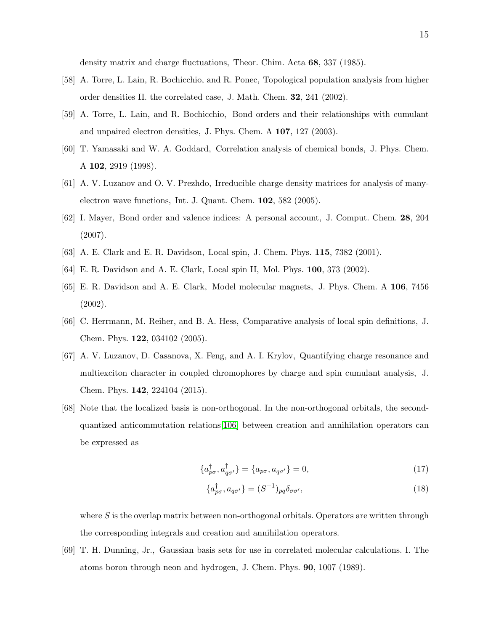density matrix and charge fluctuations, Theor. Chim. Acta 68, 337 (1985).

- [58] A. Torre, L. Lain, R. Bochicchio, and R. Ponec, Topological population analysis from higher order densities II. the correlated case, J. Math. Chem. 32, 241 (2002).
- <span id="page-14-4"></span>[59] A. Torre, L. Lain, and R. Bochicchio, Bond orders and their relationships with cumulant and unpaired electron densities, J. Phys. Chem. A 107, 127 (2003).
- <span id="page-14-5"></span>[60] T. Yamasaki and W. A. Goddard, Correlation analysis of chemical bonds, J. Phys. Chem. A 102, 2919 (1998).
- [61] A. V. Luzanov and O. V. Prezhdo, Irreducible charge density matrices for analysis of manyelectron wave functions, Int. J. Quant. Chem. 102, 582 (2005).
- <span id="page-14-0"></span>[62] I. Mayer, Bond order and valence indices: A personal account, J. Comput. Chem. 28, 204 (2007).
- <span id="page-14-1"></span>[63] A. E. Clark and E. R. Davidson, Local spin, J. Chem. Phys. 115, 7382 (2001).
- <span id="page-14-8"></span>[64] E. R. Davidson and A. E. Clark, Local spin II, Mol. Phys. 100, 373 (2002).
- [65] E. R. Davidson and A. E. Clark, Model molecular magnets, J. Phys. Chem. A 106, 7456 (2002).
- <span id="page-14-6"></span>[66] C. Herrmann, M. Reiher, and B. A. Hess, Comparative analysis of local spin definitions, J. Chem. Phys. 122, 034102 (2005).
- <span id="page-14-2"></span>[67] A. V. Luzanov, D. Casanova, X. Feng, and A. I. Krylov, Quantifying charge resonance and multiexciton character in coupled chromophores by charge and spin cumulant analysis, J. Chem. Phys. 142, 224104 (2015).
- <span id="page-14-3"></span>[68] Note that the localized basis is non-orthogonal. In the non-orthogonal orbitals, the secondquantized anticommutation relations[\[106\]](#page-18-1) between creation and annihilation operators can be expressed as

$$
\{a_{p\sigma}^{\dagger}, a_{q\sigma'}^{\dagger}\} = \{a_{p\sigma}, a_{q\sigma'}\} = 0,\tag{17}
$$

$$
\{a_{p\sigma}^{\dagger}, a_{q\sigma'}\} = (S^{-1})_{pq} \delta_{\sigma\sigma'},\tag{18}
$$

where  $S$  is the overlap matrix between non-orthogonal orbitals. Operators are written through the corresponding integrals and creation and annihilation operators.

<span id="page-14-7"></span>[69] T. H. Dunning, Jr., Gaussian basis sets for use in correlated molecular calculations. I. The atoms boron through neon and hydrogen, J. Chem. Phys. 90, 1007 (1989).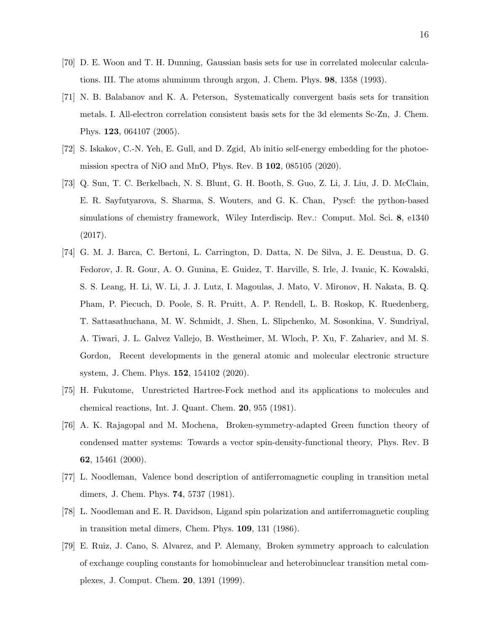- [70] D. E. Woon and T. H. Dunning, Gaussian basis sets for use in correlated molecular calculations. III. The atoms aluminum through argon, J. Chem. Phys. 98, 1358 (1993).
- <span id="page-15-0"></span>[71] N. B. Balabanov and K. A. Peterson, Systematically convergent basis sets for transition metals. I. All-electron correlation consistent basis sets for the 3d elements Sc-Zn, J. Chem. Phys. 123, 064107 (2005).
- <span id="page-15-1"></span>[72] S. Iskakov, C.-N. Yeh, E. Gull, and D. Zgid, Ab initio self-energy embedding for the photoemission spectra of NiO and MnO, Phys. Rev. B 102, 085105 (2020).
- <span id="page-15-2"></span>[73] Q. Sun, T. C. Berkelbach, N. S. Blunt, G. H. Booth, S. Guo, Z. Li, J. Liu, J. D. McClain, E. R. Sayfutyarova, S. Sharma, S. Wouters, and G. K. Chan, Pyscf: the python-based simulations of chemistry framework, Wiley Interdiscip. Rev.: Comput. Mol. Sci. 8, e1340 (2017).
- <span id="page-15-3"></span>[74] G. M. J. Barca, C. Bertoni, L. Carrington, D. Datta, N. De Silva, J. E. Deustua, D. G. Fedorov, J. R. Gour, A. O. Gunina, E. Guidez, T. Harville, S. Irle, J. Ivanic, K. Kowalski, S. S. Leang, H. Li, W. Li, J. J. Lutz, I. Magoulas, J. Mato, V. Mironov, H. Nakata, B. Q. Pham, P. Piecuch, D. Poole, S. R. Pruitt, A. P. Rendell, L. B. Roskop, K. Ruedenberg, T. Sattasathuchana, M. W. Schmidt, J. Shen, L. Slipchenko, M. Sosonkina, V. Sundriyal, A. Tiwari, J. L. Galvez Vallejo, B. Westheimer, M. Wloch, P. Xu, F. Zahariev, and M. S. Gordon, Recent developments in the general atomic and molecular electronic structure system, J. Chem. Phys. 152, 154102 (2020).
- <span id="page-15-4"></span>[75] H. Fukutome, Unrestricted Hartree-Fock method and its applications to molecules and chemical reactions, Int. J. Quant. Chem. 20, 955 (1981).
- <span id="page-15-5"></span>[76] A. K. Rajagopal and M. Mochena, Broken-symmetry-adapted Green function theory of condensed matter systems: Towards a vector spin-density-functional theory, Phys. Rev. B 62, 15461 (2000).
- <span id="page-15-6"></span>[77] L. Noodleman, Valence bond description of antiferromagnetic coupling in transition metal dimers, J. Chem. Phys. 74, 5737 (1981).
- <span id="page-15-7"></span>[78] L. Noodleman and E. R. Davidson, Ligand spin polarization and antiferromagnetic coupling in transition metal dimers, Chem. Phys. 109, 131 (1986).
- [79] E. Ruiz, J. Cano, S. Alvarez, and P. Alemany, Broken symmetry approach to calculation of exchange coupling constants for homobinuclear and heterobinuclear transition metal complexes, J. Comput. Chem. 20, 1391 (1999).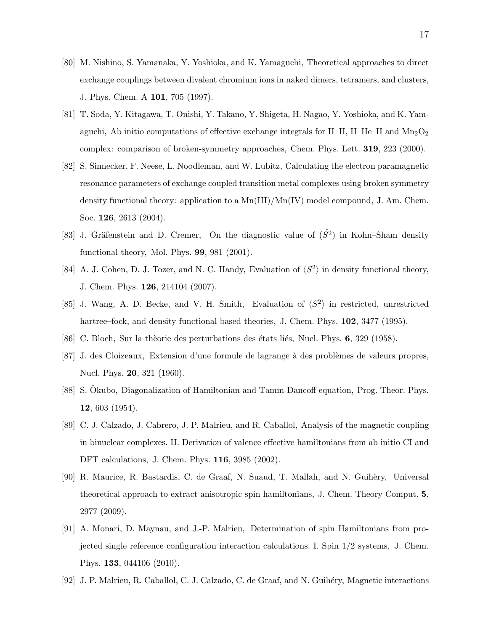- [80] M. Nishino, S. Yamanaka, Y. Yoshioka, and K. Yamaguchi, Theoretical approaches to direct exchange couplings between divalent chromium ions in naked dimers, tetramers, and clusters, J. Phys. Chem. A 101, 705 (1997).
- [81] T. Soda, Y. Kitagawa, T. Onishi, Y. Takano, Y. Shigeta, H. Nagao, Y. Yoshioka, and K. Yamaguchi, Ab initio computations of effective exchange integrals for H–H, H–He–H and  $\text{Mn}_2\text{O}_2$ complex: comparison of broken-symmetry approaches, Chem. Phys. Lett. 319, 223 (2000).
- <span id="page-16-0"></span>[82] S. Sinnecker, F. Neese, L. Noodleman, and W. Lubitz, Calculating the electron paramagnetic resonance parameters of exchange coupled transition metal complexes using broken symmetry density functional theory: application to a  $\text{Mn(III)/Mn(IV)}$  model compound, J. Am. Chem. Soc. 126, 2613 (2004).
- <span id="page-16-1"></span>[83] J. Gräfenstein and D. Cremer, On the diagnostic value of  $(S^2)$  in Kohn–Sham density functional theory, Mol. Phys. 99, 981 (2001).
- [84] A. J. Cohen, D. J. Tozer, and N. C. Handy, Evaluation of  $\langle S^2 \rangle$  in density functional theory, J. Chem. Phys. 126, 214104 (2007).
- <span id="page-16-2"></span>[85] J. Wang, A. D. Becke, and V. H. Smith, Evaluation of  $\langle S^2 \rangle$  in restricted, unrestricted hartree–fock, and density functional based theories, J. Chem. Phys. **102**, 3477 (1995).
- <span id="page-16-3"></span>[86] C. Bloch, Sur la thèorie des perturbations des états liés, Nucl. Phys. 6, 329 (1958).
- [87] J. des Cloizeaux, Extension d'une formule de lagrange à des problèmes de valeurs propres, Nucl. Phys. 20, 321 (1960).
- <span id="page-16-4"></span>[88] S. Okubo, Diagonalization of Hamiltonian and Tamm-Dancoff equation, Prog. Theor. Phys. 12, 603 (1954).
- <span id="page-16-5"></span>[89] C. J. Calzado, J. Cabrero, J. P. Malrieu, and R. Caballol, Analysis of the magnetic coupling in binuclear complexes. II. Derivation of valence effective hamiltonians from ab initio CI and DFT calculations, J. Chem. Phys. 116, 3985 (2002).
- [90] R. Maurice, R. Bastardis, C. de Graaf, N. Suaud, T. Mallah, and N. Guihèry, Universal theoretical approach to extract anisotropic spin hamiltonians, J. Chem. Theory Comput. 5, 2977 (2009).
- [91] A. Monari, D. Maynau, and J.-P. Malrieu, Determination of spin Hamiltonians from projected single reference configuration interaction calculations. I. Spin 1/2 systems, J. Chem. Phys. 133, 044106 (2010).
- [92] J. P. Malrieu, R. Caballol, C. J. Calzado, C. de Graaf, and N. Guih´ery, Magnetic interactions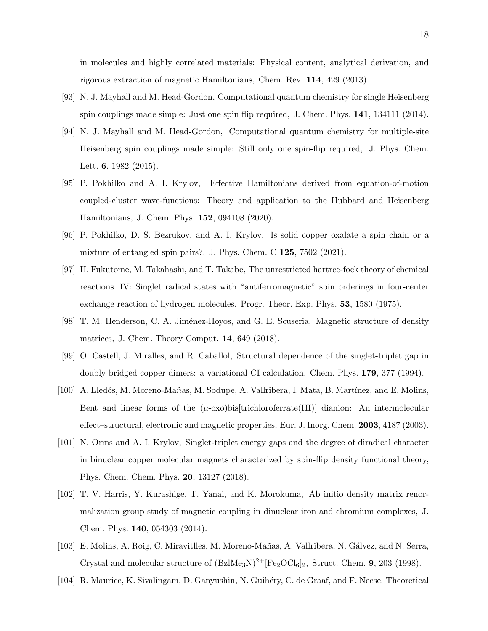in molecules and highly correlated materials: Physical content, analytical derivation, and rigorous extraction of magnetic Hamiltonians, Chem. Rev. 114, 429 (2013).

- [93] N. J. Mayhall and M. Head-Gordon, Computational quantum chemistry for single Heisenberg spin couplings made simple: Just one spin flip required, J. Chem. Phys. 141, 134111 (2014).
- [94] N. J. Mayhall and M. Head-Gordon, Computational quantum chemistry for multiple-site Heisenberg spin couplings made simple: Still only one spin-flip required, J. Phys. Chem. Lett. 6, 1982 (2015).
- [95] P. Pokhilko and A. I. Krylov, Effective Hamiltonians derived from equation-of-motion coupled-cluster wave-functions: Theory and application to the Hubbard and Heisenberg Hamiltonians, J. Chem. Phys. 152, 094108 (2020).
- <span id="page-17-0"></span>[96] P. Pokhilko, D. S. Bezrukov, and A. I. Krylov, Is solid copper oxalate a spin chain or a mixture of entangled spin pairs?, J. Phys. Chem. C 125, 7502 (2021).
- <span id="page-17-1"></span>[97] H. Fukutome, M. Takahashi, and T. Takabe, The unrestricted hartree-fock theory of chemical reactions. IV: Singlet radical states with "antiferromagnetic" spin orderings in four-center exchange reaction of hydrogen molecules, Progr. Theor. Exp. Phys. 53, 1580 (1975).
- <span id="page-17-2"></span>[98] T. M. Henderson, C. A. Jiménez-Hoyos, and G. E. Scuseria, Magnetic structure of density matrices, J. Chem. Theory Comput. 14, 649 (2018).
- <span id="page-17-3"></span>[99] O. Castell, J. Miralles, and R. Caballol, Structural dependence of the singlet-triplet gap in doubly bridged copper dimers: a variational CI calculation, Chem. Phys. 179, 377 (1994).
- <span id="page-17-4"></span>[100] A. Lledós, M. Moreno-Mañas, M. Sodupe, A. Vallribera, I. Mata, B. Martínez, and E. Molins, Bent and linear forms of the  $(\mu$ -oxo)bis[trichloroferrate(III)] dianion: An intermolecular effect–structural, electronic and magnetic properties, Eur. J. Inorg. Chem. 2003, 4187 (2003).
- <span id="page-17-5"></span>[101] N. Orms and A. I. Krylov, Singlet-triplet energy gaps and the degree of diradical character in binuclear copper molecular magnets characterized by spin-flip density functional theory, Phys. Chem. Chem. Phys. 20, 13127 (2018).
- <span id="page-17-6"></span>[102] T. V. Harris, Y. Kurashige, T. Yanai, and K. Morokuma, Ab initio density matrix renormalization group study of magnetic coupling in dinuclear iron and chromium complexes, J. Chem. Phys. 140, 054303 (2014).
- <span id="page-17-7"></span>[103] E. Molins, A. Roig, C. Miravitlles, M. Moreno-Mañas, A. Vallribera, N. Gálvez, and N. Serra, Crystal and molecular structure of  $(BzMegN)^{2+}[Fe_2OCl_6]_2$ , Struct. Chem. 9, 203 (1998).
- <span id="page-17-8"></span>[104] R. Maurice, K. Sivalingam, D. Ganyushin, N. Guih´ery, C. de Graaf, and F. Neese, Theoretical